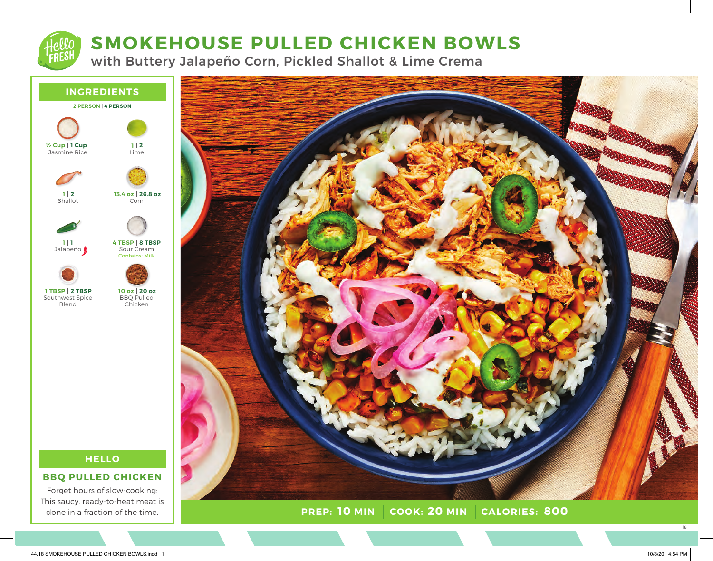# **SMOKEHOUSE PULLED CHICKEN BOWLS**

with Buttery Jalapeño Corn, Pickled Shallot & Lime Crema



## **HELLO**

**BBQ PULLED CHICKEN**

Forget hours of slow-cooking: This saucy, ready-to-heat meat is done in a fraction of the time.



**PREP: 10 MIN COOK:** 20 MIN **10 MIN 20 MIN 800**

18